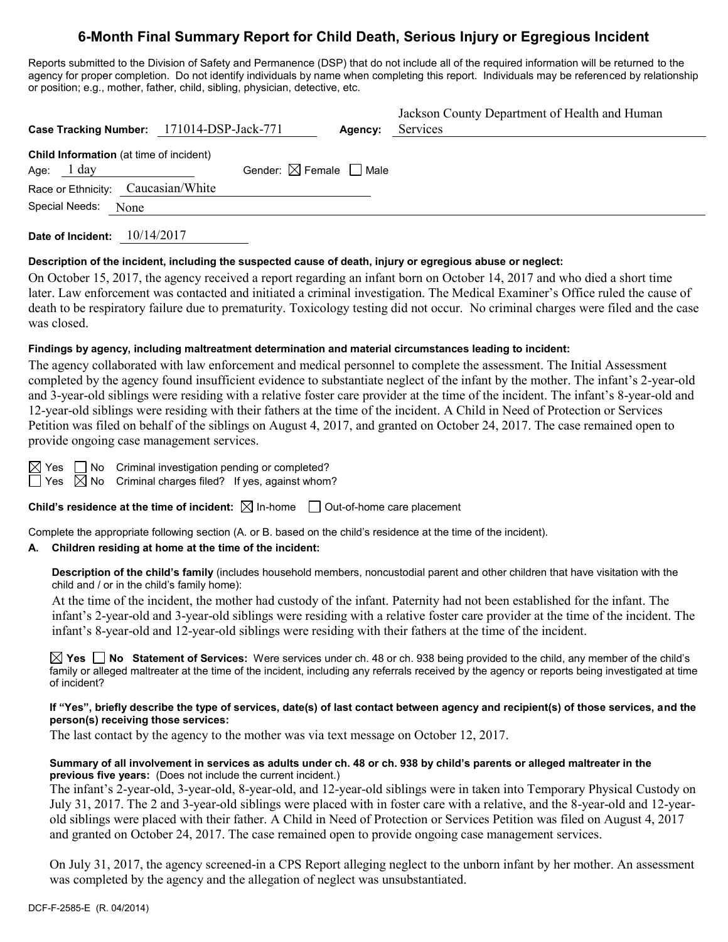# **6-Month Final Summary Report for Child Death, Serious Injury or Egregious Incident**

Reports submitted to the Division of Safety and Permanence (DSP) that do not include all of the required information will be returned to the agency for proper completion. Do not identify individuals by name when completing this report. Individuals may be referenced by relationship or position; e.g., mother, father, child, sibling, physician, detective, etc.

| Case Tracking Number: 171014-DSP-Jack-771                       |                                        | Agency: | Jackson County Department of Health and Human<br>Services |
|-----------------------------------------------------------------|----------------------------------------|---------|-----------------------------------------------------------|
| Child Information (at time of incident)<br>Age: $1 \text{ day}$ | Gender: $\boxtimes$ Female $\Box$ Male |         |                                                           |
| Race or Ethnicity: Caucasian/White                              |                                        |         |                                                           |
| Special Needs: None                                             |                                        |         |                                                           |

**Date of Incident:** 10/14/2017

### **Description of the incident, including the suspected cause of death, injury or egregious abuse or neglect:**

On October 15, 2017, the agency received a report regarding an infant born on October 14, 2017 and who died a short time later. Law enforcement was contacted and initiated a criminal investigation. The Medical Examiner's Office ruled the cause of death to be respiratory failure due to prematurity. Toxicology testing did not occur. No criminal charges were filed and the case was closed.

### **Findings by agency, including maltreatment determination and material circumstances leading to incident:**

The agency collaborated with law enforcement and medical personnel to complete the assessment. The Initial Assessment completed by the agency found insufficient evidence to substantiate neglect of the infant by the mother. The infant's 2-year-old and 3-year-old siblings were residing with a relative foster care provider at the time of the incident. The infant's 8-year-old and 12-year-old siblings were residing with their fathers at the time of the incident. A Child in Need of Protection or Services Petition was filed on behalf of the siblings on August 4, 2017, and granted on October 24, 2017. The case remained open to provide ongoing case management services.

| ٠ |  |
|---|--|

 $\Box$  No Criminal investigation pending or completed?

 $\boxtimes$  No Criminal charges filed? If yes, against whom?

**Child's residence at the time of incident:**  $\boxtimes$  In-home  $\Box$  Out-of-home care placement

Complete the appropriate following section (A. or B. based on the child's residence at the time of the incident).

### **A. Children residing at home at the time of the incident:**

**Description of the child's family** (includes household members, noncustodial parent and other children that have visitation with the child and / or in the child's family home):

At the time of the incident, the mother had custody of the infant. Paternity had not been established for the infant. The infant's 2-year-old and 3-year-old siblings were residing with a relative foster care provider at the time of the incident. The infant's 8-year-old and 12-year-old siblings were residing with their fathers at the time of the incident.

**Yes No Statement of Services:** Were services under ch. 48 or ch. 938 being provided to the child, any member of the child's family or alleged maltreater at the time of the incident, including any referrals received by the agency or reports being investigated at time of incident?

#### **If "Yes", briefly describe the type of services, date(s) of last contact between agency and recipient(s) of those services, and the person(s) receiving those services:**

The last contact by the agency to the mother was via text message on October 12, 2017.

### **Summary of all involvement in services as adults under ch. 48 or ch. 938 by child's parents or alleged maltreater in the previous five years:** (Does not include the current incident.)

The infant's 2-year-old, 3-year-old, 8-year-old, and 12-year-old siblings were in taken into Temporary Physical Custody on July 31, 2017. The 2 and 3-year-old siblings were placed with in foster care with a relative, and the 8-year-old and 12-yearold siblings were placed with their father. A Child in Need of Protection or Services Petition was filed on August 4, 2017 and granted on October 24, 2017. The case remained open to provide ongoing case management services.

On July 31, 2017, the agency screened-in a CPS Report alleging neglect to the unborn infant by her mother. An assessment was completed by the agency and the allegation of neglect was unsubstantiated.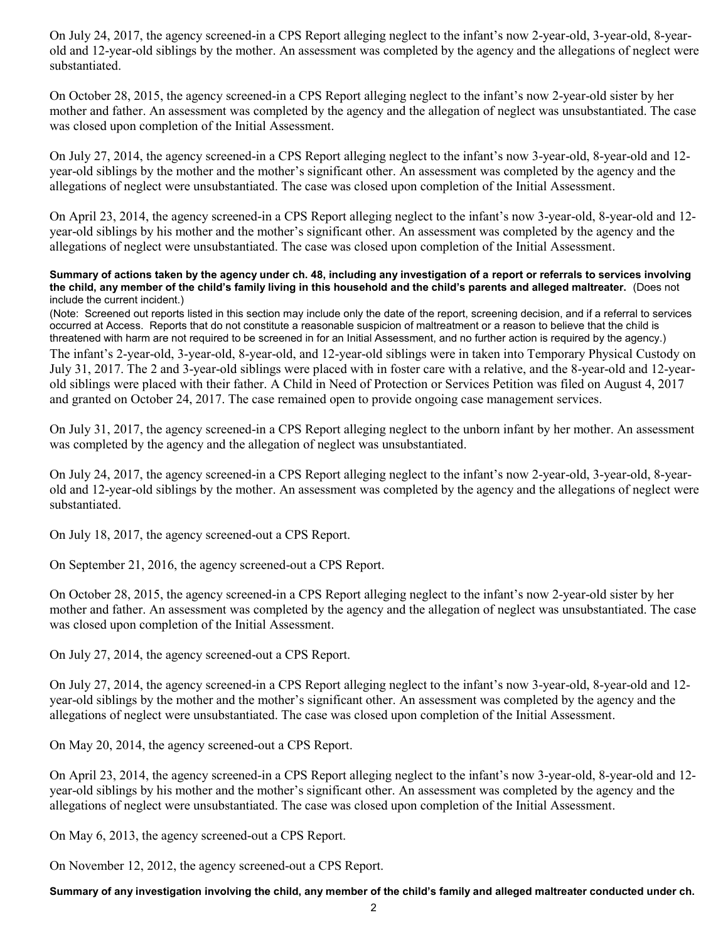On July 24, 2017, the agency screened-in a CPS Report alleging neglect to the infant's now 2-year-old, 3-year-old, 8-yearold and 12-year-old siblings by the mother. An assessment was completed by the agency and the allegations of neglect were substantiated.

On October 28, 2015, the agency screened-in a CPS Report alleging neglect to the infant's now 2-year-old sister by her mother and father. An assessment was completed by the agency and the allegation of neglect was unsubstantiated. The case was closed upon completion of the Initial Assessment.

On July 27, 2014, the agency screened-in a CPS Report alleging neglect to the infant's now 3-year-old, 8-year-old and 12 year-old siblings by the mother and the mother's significant other. An assessment was completed by the agency and the allegations of neglect were unsubstantiated. The case was closed upon completion of the Initial Assessment.

On April 23, 2014, the agency screened-in a CPS Report alleging neglect to the infant's now 3-year-old, 8-year-old and 12 year-old siblings by his mother and the mother's significant other. An assessment was completed by the agency and the allegations of neglect were unsubstantiated. The case was closed upon completion of the Initial Assessment.

#### **Summary of actions taken by the agency under ch. 48, including any investigation of a report or referrals to services involving the child, any member of the child's family living in this household and the child's parents and alleged maltreater.** (Does not include the current incident.)

(Note: Screened out reports listed in this section may include only the date of the report, screening decision, and if a referral to services occurred at Access. Reports that do not constitute a reasonable suspicion of maltreatment or a reason to believe that the child is threatened with harm are not required to be screened in for an Initial Assessment, and no further action is required by the agency.)

The infant's 2-year-old, 3-year-old, 8-year-old, and 12-year-old siblings were in taken into Temporary Physical Custody on July 31, 2017. The 2 and 3-year-old siblings were placed with in foster care with a relative, and the 8-year-old and 12-yearold siblings were placed with their father. A Child in Need of Protection or Services Petition was filed on August 4, 2017 and granted on October 24, 2017. The case remained open to provide ongoing case management services.

On July 31, 2017, the agency screened-in a CPS Report alleging neglect to the unborn infant by her mother. An assessment was completed by the agency and the allegation of neglect was unsubstantiated.

On July 24, 2017, the agency screened-in a CPS Report alleging neglect to the infant's now 2-year-old, 3-year-old, 8-yearold and 12-year-old siblings by the mother. An assessment was completed by the agency and the allegations of neglect were substantiated.

On July 18, 2017, the agency screened-out a CPS Report.

On September 21, 2016, the agency screened-out a CPS Report.

On October 28, 2015, the agency screened-in a CPS Report alleging neglect to the infant's now 2-year-old sister by her mother and father. An assessment was completed by the agency and the allegation of neglect was unsubstantiated. The case was closed upon completion of the Initial Assessment.

On July 27, 2014, the agency screened-out a CPS Report.

On July 27, 2014, the agency screened-in a CPS Report alleging neglect to the infant's now 3-year-old, 8-year-old and 12 year-old siblings by the mother and the mother's significant other. An assessment was completed by the agency and the allegations of neglect were unsubstantiated. The case was closed upon completion of the Initial Assessment.

On May 20, 2014, the agency screened-out a CPS Report.

On April 23, 2014, the agency screened-in a CPS Report alleging neglect to the infant's now 3-year-old, 8-year-old and 12 year-old siblings by his mother and the mother's significant other. An assessment was completed by the agency and the allegations of neglect were unsubstantiated. The case was closed upon completion of the Initial Assessment.

On May 6, 2013, the agency screened-out a CPS Report.

On November 12, 2012, the agency screened-out a CPS Report.

**Summary of any investigation involving the child, any member of the child's family and alleged maltreater conducted under ch.**